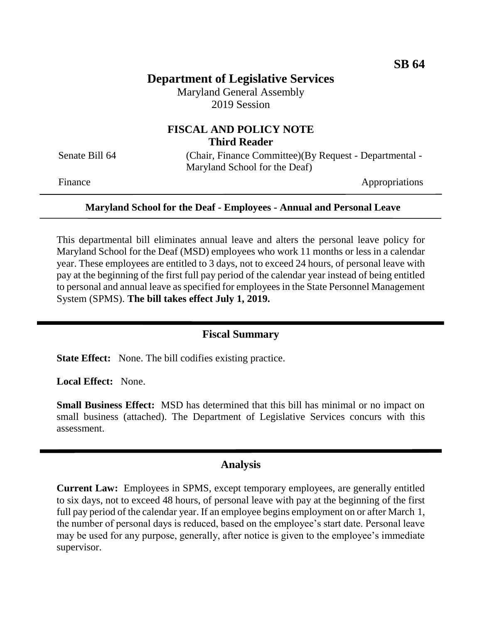# **Department of Legislative Services**

Maryland General Assembly 2019 Session

## **FISCAL AND POLICY NOTE Third Reader**

Senate Bill 64 (Chair, Finance Committee)(By Request - Departmental -Maryland School for the Deaf)

Finance Appropriations

#### **Maryland School for the Deaf - Employees - Annual and Personal Leave**

This departmental bill eliminates annual leave and alters the personal leave policy for Maryland School for the Deaf (MSD) employees who work 11 months or less in a calendar year. These employees are entitled to 3 days, not to exceed 24 hours, of personal leave with pay at the beginning of the first full pay period of the calendar year instead of being entitled to personal and annual leave as specified for employees in the State Personnel Management System (SPMS). **The bill takes effect July 1, 2019.**

## **Fiscal Summary**

**State Effect:** None. The bill codifies existing practice.

**Local Effect:** None.

**Small Business Effect:** MSD has determined that this bill has minimal or no impact on small business (attached). The Department of Legislative Services concurs with this assessment.

## **Analysis**

**Current Law:** Employees in SPMS, except temporary employees, are generally entitled to six days, not to exceed 48 hours, of personal leave with pay at the beginning of the first full pay period of the calendar year. If an employee begins employment on or after March 1, the number of personal days is reduced, based on the employee's start date. Personal leave may be used for any purpose, generally, after notice is given to the employee's immediate supervisor.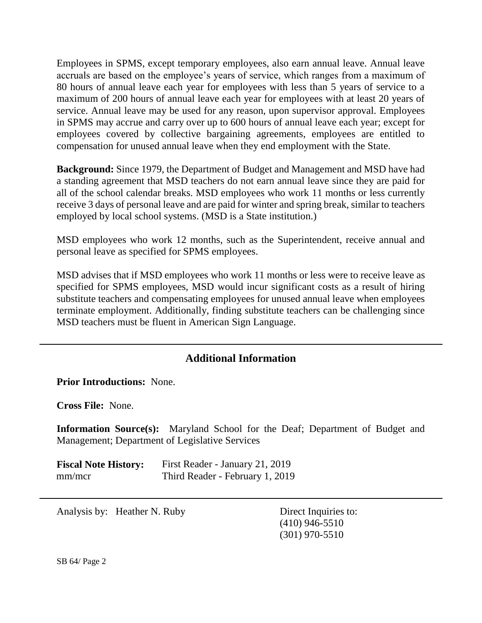Employees in SPMS, except temporary employees, also earn annual leave. Annual leave accruals are based on the employee's years of service, which ranges from a maximum of 80 hours of annual leave each year for employees with less than 5 years of service to a maximum of 200 hours of annual leave each year for employees with at least 20 years of service. Annual leave may be used for any reason, upon supervisor approval. Employees in SPMS may accrue and carry over up to 600 hours of annual leave each year; except for employees covered by collective bargaining agreements, employees are entitled to compensation for unused annual leave when they end employment with the State.

**Background:** Since 1979, the Department of Budget and Management and MSD have had a standing agreement that MSD teachers do not earn annual leave since they are paid for all of the school calendar breaks. MSD employees who work 11 months or less currently receive 3 days of personal leave and are paid for winter and spring break, similar to teachers employed by local school systems. (MSD is a State institution.)

MSD employees who work 12 months, such as the Superintendent, receive annual and personal leave as specified for SPMS employees.

MSD advises that if MSD employees who work 11 months or less were to receive leave as specified for SPMS employees, MSD would incur significant costs as a result of hiring substitute teachers and compensating employees for unused annual leave when employees terminate employment. Additionally, finding substitute teachers can be challenging since MSD teachers must be fluent in American Sign Language.

## **Additional Information**

**Prior Introductions:** None.

**Cross File:** None.

**Information Source(s):** Maryland School for the Deaf; Department of Budget and Management; Department of Legislative Services

**Fiscal Note History:** First Reader - January 21, 2019 mm/mcr Third Reader - February 1, 2019

Analysis by: Heather N. Ruby Direct Inquiries to:

(410) 946-5510 (301) 970-5510